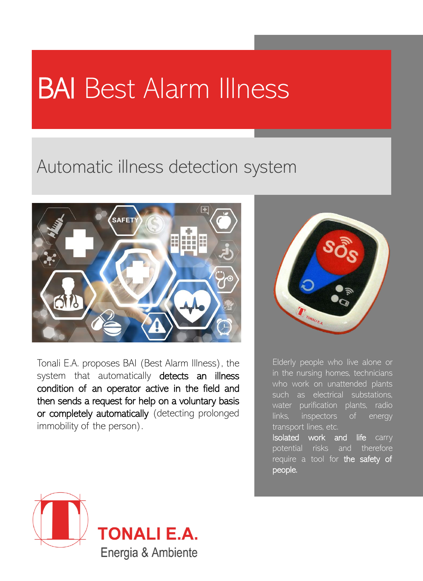# BAI Best Alarm Illness

## Automatic illness detection system



Tonali E.A. proposes BAI (Best Alarm Illness), the system that automatically detects an illness condition of an operator active in the field and then sends a request for help on a voluntary basis or completely automatically (detecting prolonged immobility of the person).



Elderly people who live alone or in the nursing homes, technicians who work on unattended plants such as electrical substations, water purification plants, radio links, inspectors of energy transport lines, etc.

Isolated work and life carry potential risks and therefore require a tool for the safety of people.



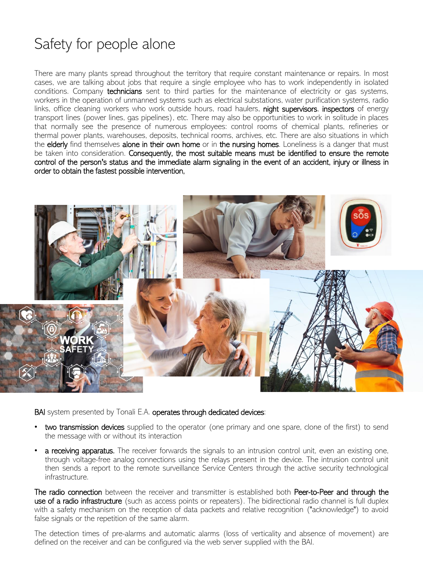### Safety for people alone

There are many plants spread throughout the territory that require constant maintenance or repairs. In most cases, we are talking about jobs that require a single employee who has to work independently in isolated conditions. Company technicians sent to third parties for the maintenance of electricity or gas systems, workers in the operation of unmanned systems such as electrical substations, water purification systems, radio links, office cleaning workers who work outside hours, road haulers, night supervisors, inspectors of energy transport lines (power lines, gas pipelines), etc. There may also be opportunities to work in solitude in places that normally see the presence of numerous employees: control rooms of chemical plants, refineries or thermal power plants, warehouses, deposits, technical rooms, archives, etc. There are also situations in which the elderly find themselves alone in their own home or in the nursing homes. Loneliness is a danger that must be taken into consideration. Consequently, the most suitable means must be identified to ensure the remote control of the person's status and the immediate alarm signaling in the event of an accident, injury or illness in order to obtain the fastest possible intervention,



BAI system presented by Tonali E.A. operates through dedicated devices:

- two transmission devices supplied to the operator (one primary and one spare, clone of the first) to send the message with or without its interaction
- **a receiving apparatus.** The receiver forwards the signals to an intrusion control unit, even an existing one, through voltage-free analog connections using the relays present in the device. The intrusion control unit then sends a report to the remote surveillance Service Centers through the active security technological infrastructure.

The radio connection between the receiver and transmitter is established both Peer-to-Peer and through the use of a radio infrastructure (such as access points or repeaters). The bidirectional radio channel is full duplex with a safety mechanism on the reception of data packets and relative recognition ("acknowledge") to avoid false signals or the repetition of the same alarm.

The detection times of pre-alarms and automatic alarms (loss of verticality and absence of movement) are defined on the receiver and can be configured via the web server supplied with the BAI.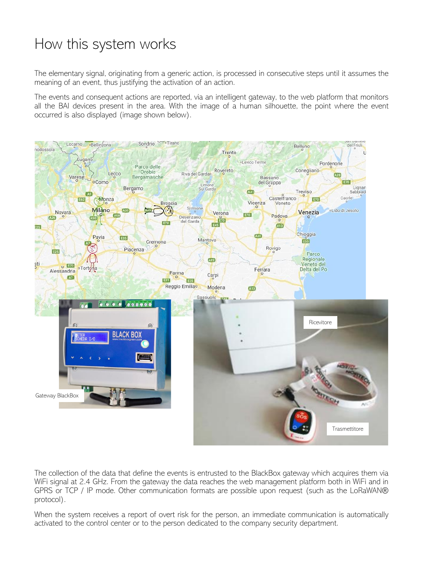### How this system works

The elementary signal, originating from a generic action, is processed in consecutive steps until it assumes the meaning of an event, thus justifying the activation of an action.

The events and consequent actions are reported, via an intelligent gateway, to the web platform that monitors all the BAI devices present in the area. With the image of a human silhouette, the point where the event occurred is also displayed (image shown below).



The collection of the data that define the events is entrusted to the BlackBox gateway which acquires them via WiFi signal at 2.4 GHz. From the gateway the data reaches the web management platform both in WiFi and in GPRS or TCP / IP mode. Other communication formats are possible upon request (such as the LoRaWAN® protocol).

When the system receives a report of overt risk for the person, an immediate communication is automatically activated to the control center or to the person dedicated to the company security department.